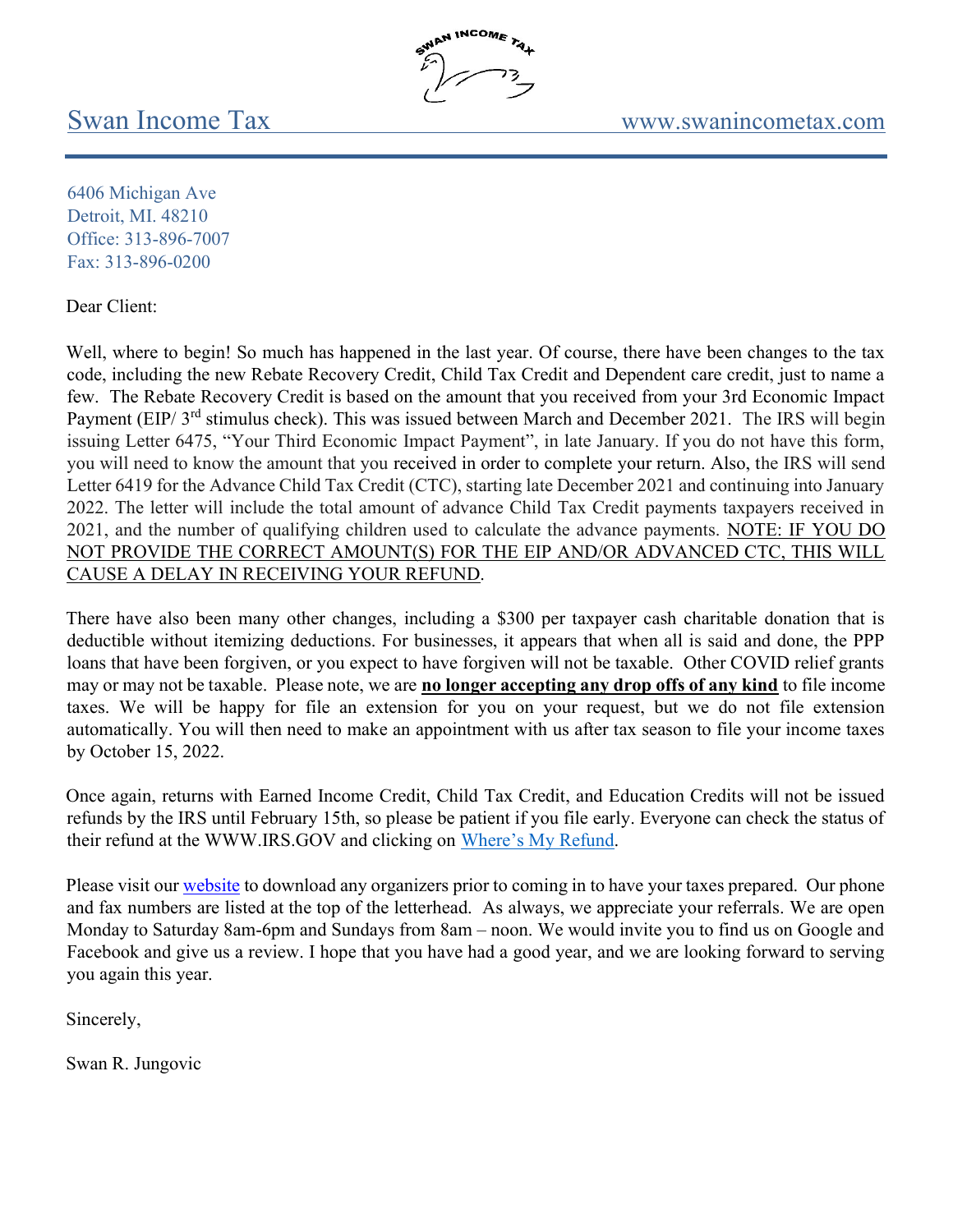6406 Michigan Ave Detroit, MI. 48210 Office: 313-896-7007 Fax: 313-896-0200

Dear Client:

Well, where to begin! So much has happened in the last year. Of course, there have been changes to the tax code, including the new Rebate Recovery Credit, Child Tax Credit and Dependent care credit, just to name a few. The Rebate Recovery Credit is based on the amount that you received from your 3rd Economic Impact Payment (EIP/ 3<sup>rd</sup> stimulus check). This was issued between March and December 2021. The IRS will begin issuing Letter 6475, "Your Third Economic Impact Payment", in late January. If you do not have this form, you will need to know the amount that you received in order to complete your return. Also, the IRS will send Letter 6419 for the Advance Child Tax Credit (CTC), starting late December 2021 and continuing into January 2022. The letter will include the total amount of advance Child Tax Credit payments taxpayers received in 2021, and the number of qualifying children used to calculate the advance payments. NOTE: IF YOU DO NOT PROVIDE THE CORRECT AMOUNT(S) FOR THE EIP AND/OR ADVANCED CTC, THIS WILL CAUSE A DELAY IN RECEIVING YOUR REFUND.

INCOME TAT

There have also been many other changes, including a \$300 per taxpayer cash charitable donation that is deductible without itemizing deductions. For businesses, it appears that when all is said and done, the PPP loans that have been forgiven, or you expect to have forgiven will not be taxable. Other COVID relief grants may or may not be taxable. Please note, we are no longer accepting any drop offs of any kind to file income taxes. We will be happy for file an extension for you on your request, but we do not file extension automatically. You will then need to make an appointment with us after tax season to file your income taxes by October 15, 2022.

Once again, returns with Earned Income Credit, Child Tax Credit, and Education Credits will not be issued refunds by the IRS until February 15th, so please be patient if you file early. Everyone can check the status of their refund at the WWW.IRS.GOV and clicking on Where's My Refund.

Please visit our website to download any organizers prior to coming in to have your taxes prepared. Our phone and fax numbers are listed at the top of the letterhead. As always, we appreciate your referrals. We are open Monday to Saturday 8am-6pm and Sundays from 8am – noon. We would invite you to find us on Google and Facebook and give us a review. I hope that you have had a good year, and we are looking forward to serving you again this year.

Sincerely,

Swan R. Jungovic